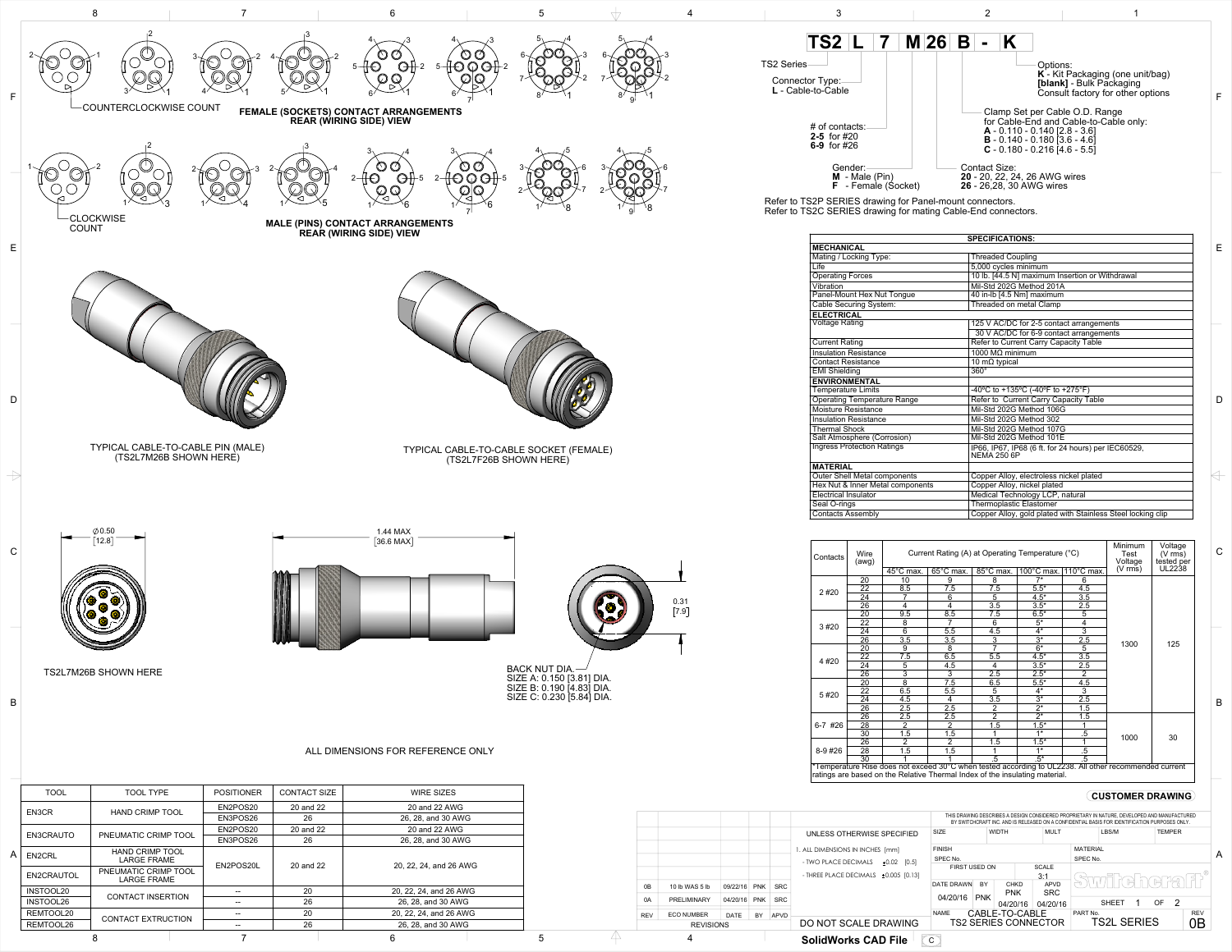

Refer to TS2P SERIES drawing for Panel-mount connectors. Refer to TS2C SERIES drawing for mating Cable-End connectors.

| $\overline{45}^{\circ}$ C max.<br>20<br>10<br>22<br>8.5<br>24<br>26<br>4<br>$\overline{9.5}$<br>20<br>8<br>22<br>$\overline{6}$<br>$\overline{24}$ | 65°C max.<br>9<br>7.5<br>6<br>4<br>8.5<br>7   | 85°C max.<br>8<br>7.5<br>5<br>3.5<br>7.5 | 100 $^{\circ}$ C max.<br>$7*$<br>$5.5*$<br>$4.5*$<br>$3.5*$<br>$6.5*$ | $110^{\circ}$ C max.<br>6<br>4.5<br>3.5<br>2.5<br>$\overline{5}$                              | $(V \, \text{rms})$                                                                                                                        | UL2238                                                                                                                |  |
|----------------------------------------------------------------------------------------------------------------------------------------------------|-----------------------------------------------|------------------------------------------|-----------------------------------------------------------------------|-----------------------------------------------------------------------------------------------|--------------------------------------------------------------------------------------------------------------------------------------------|-----------------------------------------------------------------------------------------------------------------------|--|
|                                                                                                                                                    |                                               |                                          |                                                                       |                                                                                               |                                                                                                                                            |                                                                                                                       |  |
|                                                                                                                                                    |                                               |                                          |                                                                       |                                                                                               |                                                                                                                                            |                                                                                                                       |  |
|                                                                                                                                                    |                                               |                                          |                                                                       |                                                                                               |                                                                                                                                            |                                                                                                                       |  |
|                                                                                                                                                    |                                               |                                          |                                                                       |                                                                                               |                                                                                                                                            |                                                                                                                       |  |
|                                                                                                                                                    |                                               |                                          |                                                                       |                                                                                               |                                                                                                                                            |                                                                                                                       |  |
|                                                                                                                                                    |                                               |                                          |                                                                       |                                                                                               |                                                                                                                                            |                                                                                                                       |  |
|                                                                                                                                                    |                                               | 6                                        | $5*$                                                                  | 4                                                                                             |                                                                                                                                            |                                                                                                                       |  |
|                                                                                                                                                    | 5.5                                           | 4.5                                      | $4*$                                                                  | $\overline{3}$                                                                                |                                                                                                                                            |                                                                                                                       |  |
| 3.5<br>$\overline{26}$                                                                                                                             | 3.5                                           | $\overline{3}$                           | $\overline{3^*}$                                                      | 2.5                                                                                           |                                                                                                                                            | 125                                                                                                                   |  |
| $\overline{20}$<br>9                                                                                                                               | 8                                             |                                          |                                                                       |                                                                                               |                                                                                                                                            |                                                                                                                       |  |
| 7.5<br>22                                                                                                                                          | 6.5                                           | 5.5                                      | $4.5*$                                                                | 3.5                                                                                           |                                                                                                                                            |                                                                                                                       |  |
| 5<br>$\overline{24}$                                                                                                                               | 4.5                                           | 4                                        | $3.5*$                                                                | 2.5                                                                                           |                                                                                                                                            |                                                                                                                       |  |
| $\overline{26}$                                                                                                                                    | $\overline{3}$                                | $\overline{2.5}$                         |                                                                       |                                                                                               |                                                                                                                                            |                                                                                                                       |  |
| 20                                                                                                                                                 | 7.5                                           | 6.5                                      | $5.5*$                                                                | 4.5                                                                                           |                                                                                                                                            |                                                                                                                       |  |
| 6.5<br>22                                                                                                                                          | 5.5                                           | 5                                        |                                                                       | 3                                                                                             |                                                                                                                                            |                                                                                                                       |  |
| $\overline{24}$<br>4.5                                                                                                                             | 4                                             |                                          |                                                                       |                                                                                               |                                                                                                                                            |                                                                                                                       |  |
| 26<br>2.5                                                                                                                                          | 2.5                                           |                                          |                                                                       |                                                                                               |                                                                                                                                            |                                                                                                                       |  |
| 2.5<br>26                                                                                                                                          | 2.5                                           | $\overline{2}$                           |                                                                       | 1.5                                                                                           |                                                                                                                                            |                                                                                                                       |  |
| $\overline{28}$                                                                                                                                    |                                               |                                          |                                                                       |                                                                                               |                                                                                                                                            |                                                                                                                       |  |
| 30<br>1.5                                                                                                                                          | 1.5                                           |                                          | $1*$                                                                  | .5                                                                                            |                                                                                                                                            | 30                                                                                                                    |  |
| 2<br>26                                                                                                                                            | 2                                             | 1.5                                      | $1.5*$                                                                |                                                                                               |                                                                                                                                            |                                                                                                                       |  |
| 28<br>1.5                                                                                                                                          | 1.5                                           |                                          | $\overline{1^*}$<br>$.5\,$                                            |                                                                                               |                                                                                                                                            |                                                                                                                       |  |
| 30                                                                                                                                                 |                                               | .5                                       | $.5^*$                                                                | $\overline{.5}$                                                                               |                                                                                                                                            |                                                                                                                       |  |
|                                                                                                                                                    | $\overline{3}$<br>$\overline{8}$<br>$\bar{2}$ | $\overline{2}$                           | 7<br>$\overline{3.5}$<br>$\overline{2}$<br>1.5                        | $\overline{6^*}$<br>$2.5*$<br>$4*$<br>$\overline{3^*}$<br>$2^*$<br>$\overline{2^*}$<br>$1.5*$ | $\overline{5}$<br>$\overline{2}$<br>$\overline{2.5}$<br>1.5<br>ratings are based on the Relative Thermal Index of the insulating material. | 1300<br>1000<br>*Temperature Rise does not exceed 30°C when tested according to UL2238. All other recommended current |  |

|                  |                   |                      |                             |            | <b>SolidWorks CAD File</b>                                                                                                                                                                    | $\mathsf{C}$                  |                                                              |              |             |                 |              |            |               |   |
|------------------|-------------------|----------------------|-----------------------------|------------|-----------------------------------------------------------------------------------------------------------------------------------------------------------------------------------------------|-------------------------------|--------------------------------------------------------------|--------------|-------------|-----------------|--------------|------------|---------------|---|
| <b>REVISIONS</b> |                   | DO NOT SCALE DRAWING | <b>TS2 SERIES CONNECTOR</b> |            |                                                                                                                                                                                               | <b>TS2L SERIES</b>            |                                                              |              | 0Β          |                 |              |            |               |   |
| REV              | <b>ECO NUMBER</b> | <b>DATE</b>          | <b>BY</b>                   | APVD       |                                                                                                                                                                                               | CABLE-TO-CABLE<br><b>NAME</b> |                                                              |              | PART No.    |                 |              | <b>REV</b> |               |   |
| 0A               | PRELIMINARY       | 04/20/16             | <b>PNK</b>                  | <b>SRC</b> |                                                                                                                                                                                               | 04/20/16                      | <b>PNK</b>                                                   | 04/20/16     | 04/20/16    |                 | <b>SHEFT</b> | OF.        |               |   |
|                  |                   |                      |                             |            |                                                                                                                                                                                               |                               |                                                              | <b>PNK</b>   | <b>SRC</b>  |                 |              |            |               |   |
| 0B               | 10 lb WAS 5 lb    | 09/22/16             | <b>PNK</b>                  | <b>SRC</b> |                                                                                                                                                                                               |                               | <b>APVD</b><br><b>BY</b><br><b>CHKD</b><br><b>DATE DRAWN</b> |              | immineheral |                 |              |            |               |   |
|                  |                   |                      |                             |            | - THREE PLACE DECIMALS $\pm 0.005$ [0.13]                                                                                                                                                     | 3:1                           |                                                              |              |             |                 |              |            |               |   |
|                  |                   |                      |                             |            | - TWO PLACE DECIMALS<br>±0.02<br>[0.5]                                                                                                                                                        | SPEC No.<br>FIRST USED ON     |                                                              |              | SCALE       | SPEC No.        |              |            |               |   |
|                  |                   |                      |                             |            | . ALL DIMENSIONS IN INCHES [mm]                                                                                                                                                               | <b>FINISH</b>                 |                                                              |              |             | <b>MATERIAL</b> |              |            |               | A |
|                  |                   |                      |                             |            |                                                                                                                                                                                               |                               |                                                              |              |             |                 |              |            |               |   |
|                  |                   |                      |                             |            | UNLESS OTHERWISE SPECIFIED                                                                                                                                                                    | <b>SIZE</b>                   |                                                              | <b>WIDTH</b> | <b>MULT</b> |                 | LBS/M        |            | <b>TEMPER</b> |   |
|                  |                   |                      |                             |            | THIS DRAWING DESCRIBES A DESIGN CONSIDERED PROPRIETARY IN NATURE, DEVELOPED AND MANUFACTURED<br>BY SWITCHCRAFT INC. AND IS RELEASED ON A CONFIDENTIAL BASIS FOR IDENTIFICATION PURPOSES ONLY. |                               |                                                              |              |             |                 |              |            |               |   |
|                  |                   |                      |                             |            |                                                                                                                                                                                               |                               |                                                              |              |             |                 |              |            |               |   |



REMTOOL20 CONTACT EXTRUCTION  $\begin{array}{|c|c|c|c|c|}\n\hline\n& - & 20 & 20, 22, 24, \text{ and } 26 \text{ AWG} \\
\hline\n\text{REMTOOL26} & 26, 28, \text{ and } 30 \text{ AWG}\n\end{array}$ 

26, 28, and 30 AWG

|                                    | <b>SPECIFICATIONS:</b>                                                    |
|------------------------------------|---------------------------------------------------------------------------|
| <b>MECHANICAL</b>                  |                                                                           |
| Mating / Locking Type:             | <b>Threaded Coupling</b>                                                  |
| Life                               | 5,000 cycles minimum                                                      |
| <b>Operating Forces</b>            | 10 lb. [44.5 N] maximum Insertion or Withdrawal                           |
| Vibration                          | Mil-Std 202G Method 201A                                                  |
| Panel-Mount Hex Nut Tongue         | 40 in-lb [4.5 Nm] maximum                                                 |
| Cable Securing System:             | Threaded on metal Clamp                                                   |
| <b>ELECTRICAL</b>                  |                                                                           |
| <b>Voltage Rating</b>              | 125 V AC/DC for 2-5 contact arrangements                                  |
|                                    | 30 V AC/DC for 6-9 contact arrangements                                   |
| <b>Current Rating</b>              | Refer to Current Carry Capacity Table                                     |
| <b>Insulation Resistance</b>       | 1000 $M\Omega$ minimum                                                    |
| <b>Contact Resistance</b>          | 10 m $\Omega$ typical                                                     |
| <b>EMI Shielding</b>               | $\overline{360^\circ}$                                                    |
| <b>ENVIRONMENTAL</b>               |                                                                           |
| <b>Temperature Limits</b>          | -40°C to +135°C (-40°F to +275°F)                                         |
| <b>Operating Temperature Range</b> | Refer to Current Carry Capacity Table                                     |
| <b>Moisture Resistance</b>         | Mil-Std 202G Method 106G                                                  |
| <b>Insulation Resistance</b>       | Mil-Std 202G Method 302                                                   |
| <b>Thermal Shock</b>               | Mil-Std 202G Method 107G                                                  |
| Salt Atmosphere (Corrosion)        | Mil-Std 202G Method 101E                                                  |
| <b>Ingress Protection Ratings</b>  | IP66, IP67, IP68 (6 ft. for 24 hours) per IEC60529,<br><b>NEMA 250 6P</b> |
| <b>MATERIAL</b>                    |                                                                           |
| Outer Shell Metal components       | Copper Alloy, electroless nickel plated                                   |
| Hex Nut & Inner Metal components   | Copper Alloy, nickel plated                                               |
| <b>Electrical Insulator</b>        | Medical Technology LCP, natural                                           |
| Seal O-rings                       | <b>Thermoplastic Elastomer</b>                                            |
| <b>Contacts Assembly</b>           | Copper Alloy, gold plated with Stainless Steel locking clip               |

8 7 6 5 4

B

C

 $\Leftrightarrow$ 

D

E

F

## **CUSTOMER DRAWING**